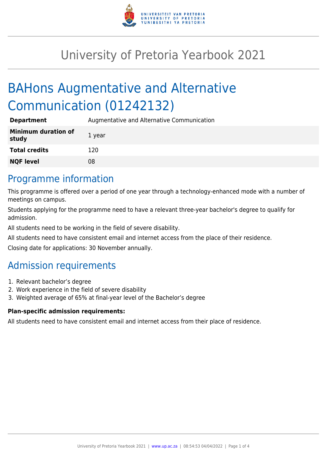

# University of Pretoria Yearbook 2021

# BAHons Augmentative and Alternative Communication (01242132)

| <b>Department</b>                   | Augmentative and Alternative Communication |
|-------------------------------------|--------------------------------------------|
| <b>Minimum duration of</b><br>study | 1 year                                     |
| <b>Total credits</b>                | 120                                        |
| <b>NQF level</b>                    | 08                                         |

# Programme information

This programme is offered over a period of one year through a technology-enhanced mode with a number of meetings on campus.

Students applying for the programme need to have a relevant three-year bachelor's degree to qualify for admission.

All students need to be working in the field of severe disability.

All students need to have consistent email and internet access from the place of their residence.

Closing date for applications: 30 November annually.

# Admission requirements

- 1. Relevant bachelor's degree
- 2. Work experience in the field of severe disability
- 3. Weighted average of 65% at final-year level of the Bachelor's degree

### **Plan-specific admission requirements:**

All students need to have consistent email and internet access from their place of residence.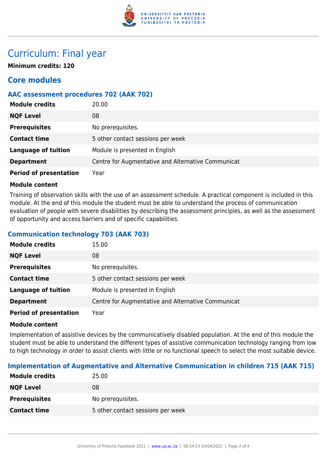

# Curriculum: Final year

**Minimum credits: 120**

# **Core modules**

## **AAC assessment procedures 702 (AAK 702)**

| <b>Module credits</b>         | 20.00                                              |
|-------------------------------|----------------------------------------------------|
| <b>NQF Level</b>              | 08                                                 |
| <b>Prerequisites</b>          | No prerequisites.                                  |
| <b>Contact time</b>           | 5 other contact sessions per week                  |
| <b>Language of tuition</b>    | Module is presented in English                     |
| <b>Department</b>             | Centre for Augmentative and Alternative Communicat |
| <b>Period of presentation</b> | Year                                               |

#### **Module content**

Training of observation skills with the use of an assessment schedule. A practical component is included in this module. At the end of this module the student must be able to understand the process of communication evaluation of people with severe disabilities by describing the assessment principles, as well as the assessment of opportunity and access barriers and of specific capabilities.

### **Communication technology 703 (AAK 703)**

| <b>Module credits</b>         | 15.00                                              |
|-------------------------------|----------------------------------------------------|
| <b>NQF Level</b>              | 08                                                 |
| <b>Prerequisites</b>          | No prerequisites.                                  |
| <b>Contact time</b>           | 5 other contact sessions per week                  |
| <b>Language of tuition</b>    | Module is presented in English                     |
| <b>Department</b>             | Centre for Augmentative and Alternative Communicat |
| <b>Period of presentation</b> | Year                                               |

#### **Module content**

Implementation of assistive devices by the communicatively disabled population. At the end of this module the student must be able to understand the different types of assistive communication technology ranging from low to high technology in order to assist clients with little or no functional speech to select the most suitable device.

### **Implementation of Augmentative and Alternative Communication in children 715 (AAK 715)**

| 25.00                             |
|-----------------------------------|
| 08                                |
| No prerequisites.                 |
| 5 other contact sessions per week |
|                                   |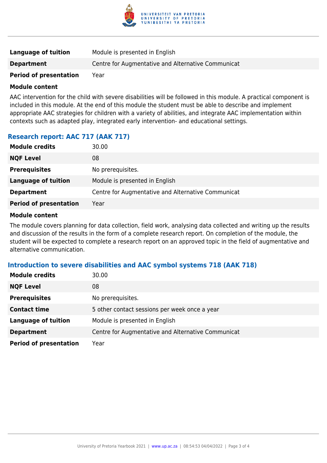

| Language of tuition           | Module is presented in English                     |
|-------------------------------|----------------------------------------------------|
| <b>Department</b>             | Centre for Augmentative and Alternative Communicat |
| <b>Period of presentation</b> | Year                                               |

#### **Module content**

AAC intervention for the child with severe disabilities will be followed in this module. A practical component is included in this module. At the end of this module the student must be able to describe and implement appropriate AAC strategies for children with a variety of abilities, and integrate AAC implementation within contexts such as adapted play, integrated early intervention- and educational settings.

## **Research report: AAC 717 (AAK 717)**

| <b>Module credits</b>         | 30.00                                              |
|-------------------------------|----------------------------------------------------|
| <b>NQF Level</b>              | 08                                                 |
| <b>Prerequisites</b>          | No prerequisites.                                  |
| Language of tuition           | Module is presented in English                     |
| <b>Department</b>             | Centre for Augmentative and Alternative Communicat |
| <b>Period of presentation</b> | Year                                               |

#### **Module content**

The module covers planning for data collection, field work, analysing data collected and writing up the results and discussion of the results in the form of a complete research report. On completion of the module, the student will be expected to complete a research report on an approved topic in the field of augmentative and alternative communication.

#### **Introduction to severe disabilities and AAC symbol systems 718 (AAK 718)**

| <b>Module credits</b>         | 30.00                                              |
|-------------------------------|----------------------------------------------------|
| <b>NQF Level</b>              | 08                                                 |
| <b>Prerequisites</b>          | No prerequisites.                                  |
| <b>Contact time</b>           | 5 other contact sessions per week once a year      |
| <b>Language of tuition</b>    | Module is presented in English                     |
| <b>Department</b>             | Centre for Augmentative and Alternative Communicat |
| <b>Period of presentation</b> | Year                                               |